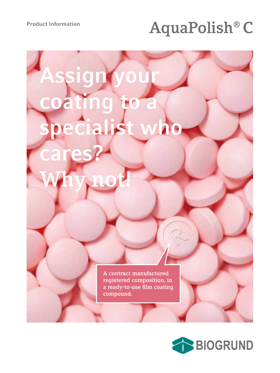# Product Information<br> **AquaPolish® C**

# **ssign** ating to a **specialist who cares? Why not!**

**A contract manufactured registered composition, in a ready-to-use film coating compound.**